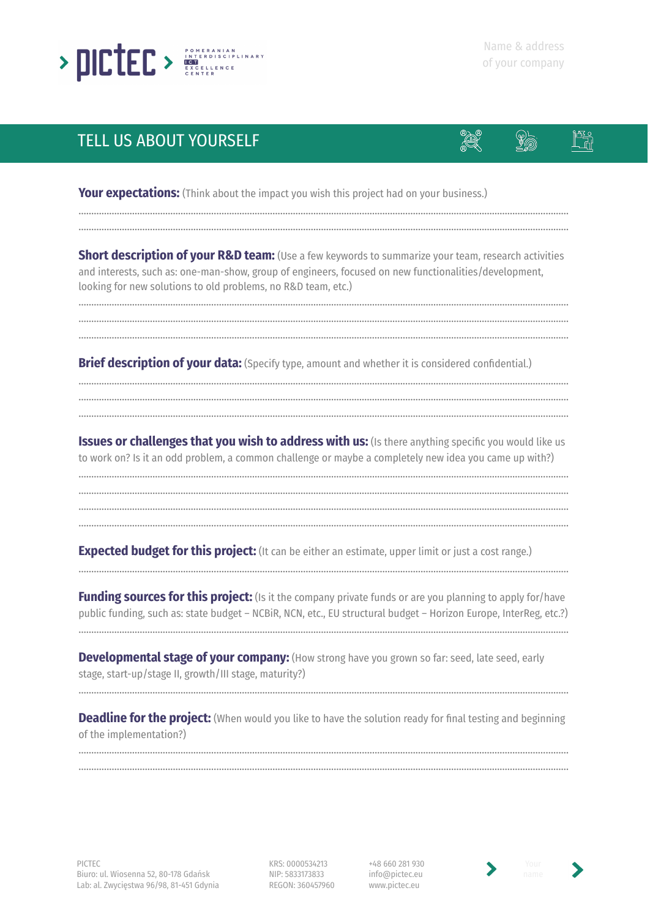

## TELL US ABOUT YOURSELF



**Your expectations:** (Think about the impact you wish this project had on your business.)

**Short description of your R&D team:** (Use a few keywords to summarize your team, research activities and interests, such as: one-man-show, group of engineers, focused on new functionalities/development, looking for new solutions to old problems, no R&D team, etc.)

………………………………………………………...……………………………………………………………………………………………………………… ………………………………………………………...………………………………………………………………………………………………………………

………………………………………………………………………………………………………………...……………………………………………………… ………………………………………………………...………………………………………………………………………………………………………………

**Brief description of your data:** (Specify type, amount and whether it is considered confidential.)

………………………………………………………………………………………………………………...………………………………………………………

………………………………………………………………………………………………………………...……………………………………………………… ………………………………………………………...……………………………………………………………………………………………………………… ………………………………………………………...………………………………………………………………………………………………………………

**Issues or challenges that you wish to address with us:** (Is there anything specific you would like us to work on? Is it an odd problem, a common challenge or maybe a completely new idea you came up with?)

………………………………………………………………………………………………………………...……………………………………………………… ………………………………………………………...………………………………………………………………………………………………………………

………………………………………………………...……………………………………………………………………………………………………………… ………………………………………………………...………………………………………………………………………………………………………………

**Expected budget for this project:** (It can be either an estimate, upper limit or just a cost range.)

**Funding sources for this project:** (Is it the company private funds or are you planning to apply for/have public funding, such as: state budget – NCBiR, NCN, etc., EU structural budget – Horizon Europe, InterReg, etc.?)

………………………………………………………………………………………………………………...………………………………………………………

………………………………………………………………………………………………………………...………………………………………………………

**Developmental stage of your company:** (How strong have you grown so far: seed, late seed, early stage, start-up/stage II, growth/III stage, maturity?)

**Deadline for the project:** (When would you like to have the solution ready for final testing and beginning of the implementation?)

………………………………………………………………………………………………………………...……………………………………………………… ………………………………………………………...………………………………………………………………………………………………………………

………………………………………………………………………………………………………………...………………………………………………………

KRS: 0000534213 NIP: 5833173833 REGON: 360457960

+48 660 281 930 info@pictec.eu www.pictec.eu